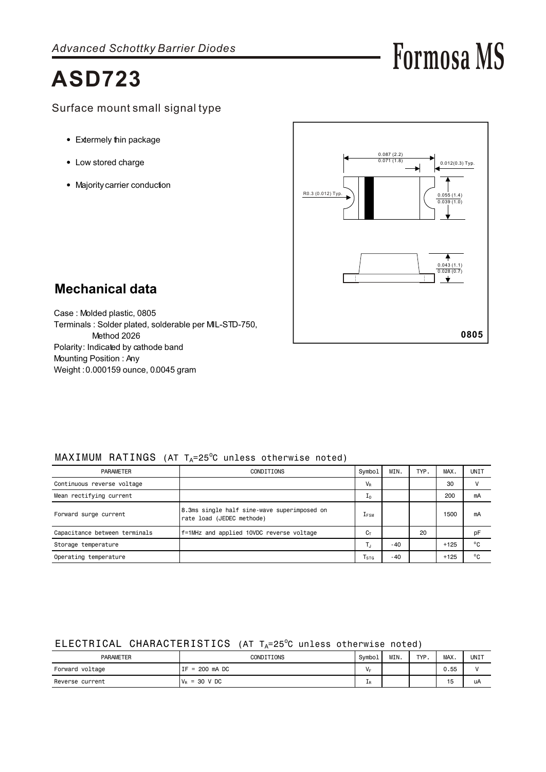# **ASD723**

- Extermely thin package
- Low stored charge
- Majority carrier conduction



**Formosa MS**

## **Mechanical data**

Case : Molded plastic, 0805 Terminals : Solder plated, solderable per MIL-STD-750, Method 2026 Polarity: Indicated by cathode band Mounting Position : Any Weight : 0.000159 ounce, 0.0045 gram

#### $MAXIMUM$  RATINGS (AT T $_A=25^{\circ}$ C unless otherwise noted)

| <b>PARAMETER</b>              | CONDITIONS                                                               | Symbol                      | MIN.  | TYP. | MAX.   | UNIT         |
|-------------------------------|--------------------------------------------------------------------------|-----------------------------|-------|------|--------|--------------|
| Continuous reverse voltage    |                                                                          | $V_R$                       |       |      | 30     |              |
| Mean rectifying current       |                                                                          | Ιo                          |       |      | 200    | mA           |
| Forward surge current         | 8.3ms single half sine-wave superimposed on<br>rate load (JEDEC methode) | $1_{FSM}$                   |       |      | 1500   | mA           |
| Capacitance between terminals | f=1MHz and applied 10VDC reverse voltage                                 | $C_T$                       |       | 20   |        | pF           |
| Storage temperature           |                                                                          | Т.,                         | $-40$ |      | $+125$ | $^{\circ}$ C |
| Operating temperature         |                                                                          | $\mathsf{T}_{\texttt{STG}}$ | $-40$ |      | $+125$ | $^{\circ}$ C |

### ELECTRICAL CHARACTERISTICS (AT  $T_A=25^\circ$ C unless otherwise noted)

| <b>PARAMETER</b> | CONDITIONS                      | Symbol | MIN. | <b>TVD</b> | MAX. | UNIT |
|------------------|---------------------------------|--------|------|------------|------|------|
| Forward voltage  | = 200 mA DC<br>TF.              | $V_F$  |      |            | 0.55 |      |
| Reverse current  | $= 30$ V DC<br>I V <sub>R</sub> | ΨR     |      |            | 15   | uA   |